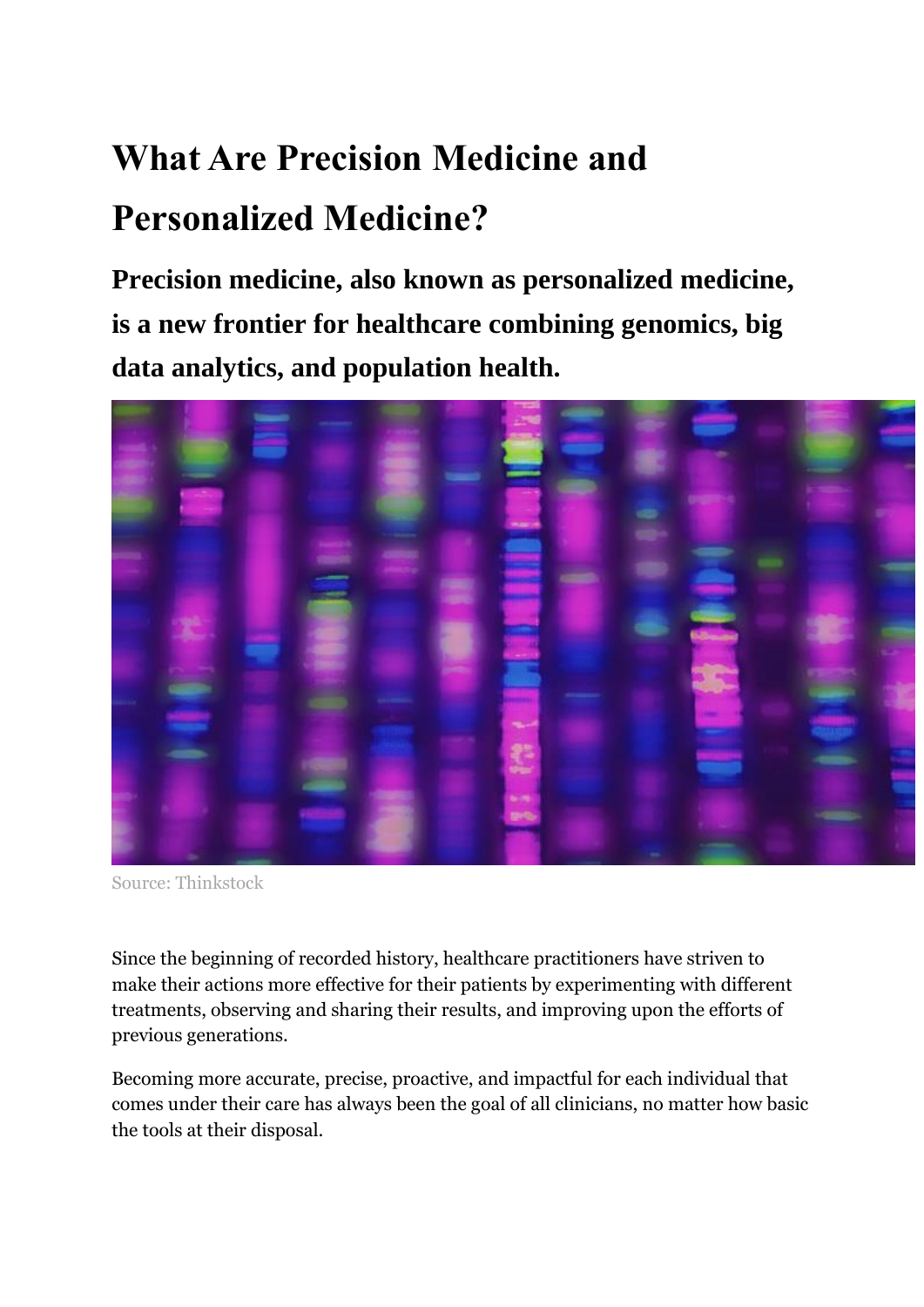# **What Are Precision Medicine and Personalized Medicine?**

**Precision medicine, also known as personalized medicine, is a new frontier for healthcare combining genomics, big data analytics, and population health.**



Source: Thinkstock

Since the beginning of recorded history, healthcare practitioners have striven to make their actions more effective for their patients by experimenting with different treatments, observing and sharing their results, and improving upon the efforts of previous generations.

Becoming more accurate, precise, proactive, and impactful for each individual that comes under their care has always been the goal of all clinicians, no matter how basic the tools at their disposal.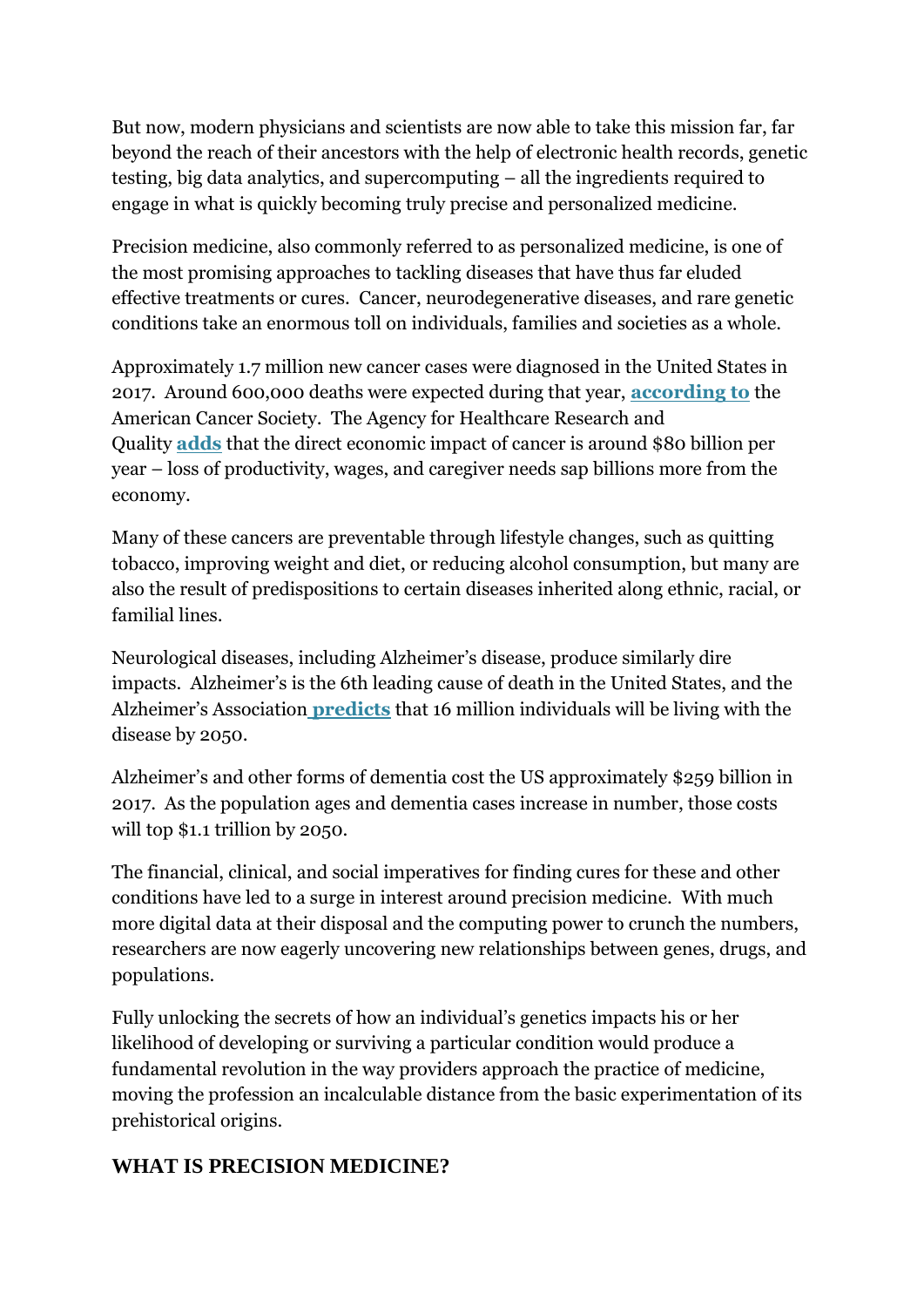But now, modern physicians and scientists are now able to take this mission far, far beyond the reach of their ancestors with the help of electronic health records, genetic testing, big data analytics, and supercomputing – all the ingredients required to engage in what is quickly becoming truly precise and personalized medicine.

Precision medicine, also commonly referred to as personalized medicine, is one of the most promising approaches to tackling diseases that have thus far eluded effective treatments or cures. Cancer, neurodegenerative diseases, and rare genetic conditions take an enormous toll on individuals, families and societies as a whole.

Approximately 1.7 million new cancer cases were diagnosed in the United States in 2017. Around 600,000 deaths were expected during that year, **[according to](https://www.cancer.org/content/dam/cancer-org/research/cancer-facts-and-statistics/annual-cancer-facts-and-figures/2017/cancer-facts-and-figures-2017.pdf)** the American Cancer Society. The Agency for Healthcare Research and Quality **[adds](https://www.cancer.org/cancer/cancer-basics/economic-impact-of-cancer.html)** that the direct economic impact of cancer is around \$80 billion per year – loss of productivity, wages, and caregiver needs sap billions more from the economy.

Many of these cancers are preventable through lifestyle changes, such as quitting tobacco, improving weight and diet, or reducing alcohol consumption, but many are also the result of predispositions to certain diseases inherited along ethnic, racial, or familial lines.

Neurological diseases, including Alzheimer's disease, produce similarly dire impacts. Alzheimer's is the 6th leading cause of death in the United States, and the Alzheimer's Association **[predicts](https://www.alz.org/facts/)** that 16 million individuals will be living with the disease by 2050.

Alzheimer's and other forms of dementia cost the US approximately \$259 billion in 2017. As the population ages and dementia cases increase in number, those costs will top \$1.1 trillion by 2050.

The financial, clinical, and social imperatives for finding cures for these and other conditions have led to a surge in interest around precision medicine. With much more digital data at their disposal and the computing power to crunch the numbers, researchers are now eagerly uncovering new relationships between genes, drugs, and populations.

Fully unlocking the secrets of how an individual's genetics impacts his or her likelihood of developing or surviving a particular condition would produce a fundamental revolution in the way providers approach the practice of medicine, moving the profession an incalculable distance from the basic experimentation of its prehistorical origins.

### **WHAT IS PRECISION MEDICINE?**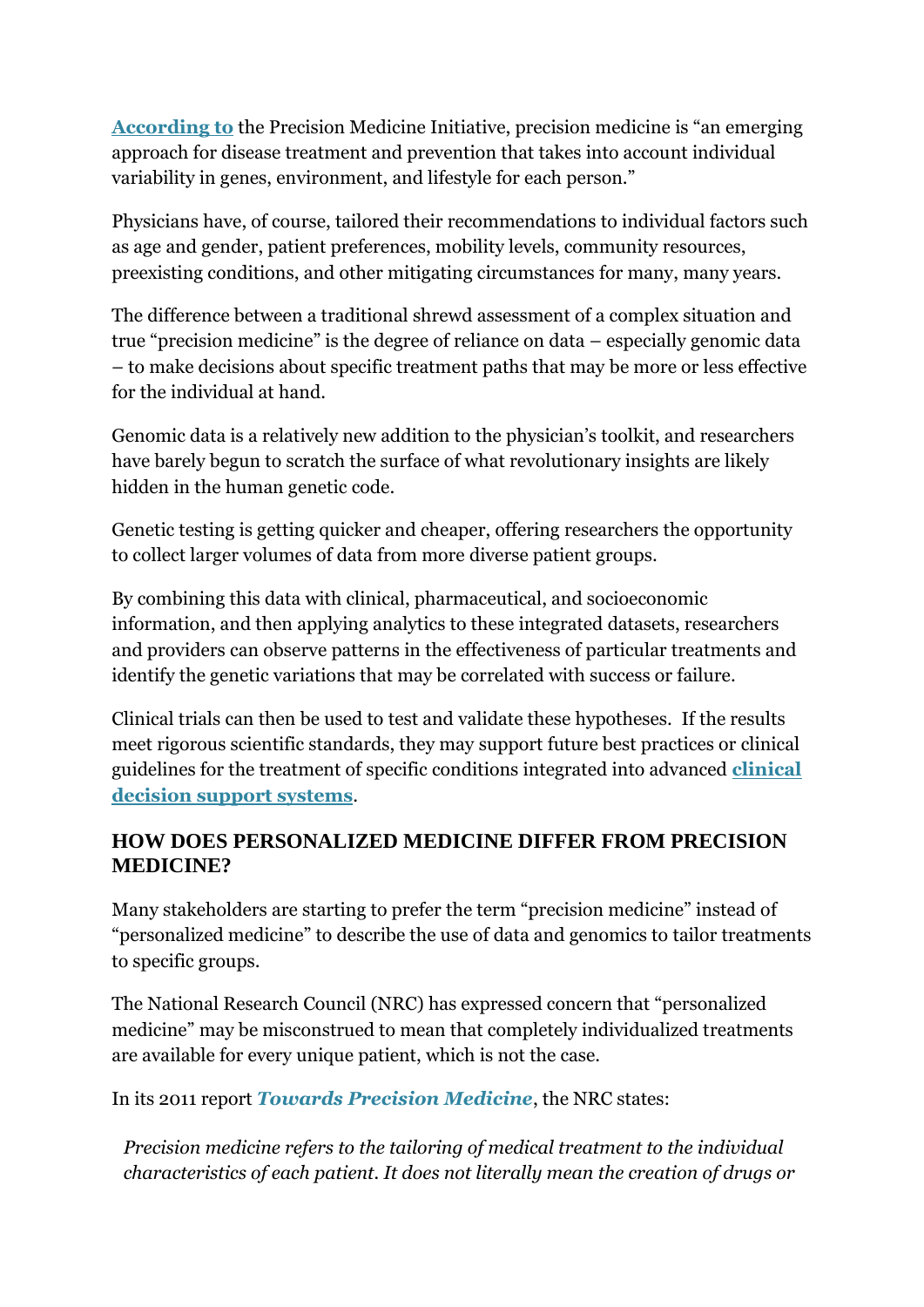**[According to](https://obamawhitehouse.archives.gov/node/333101)** the Precision Medicine Initiative, precision medicine is "an emerging approach for disease treatment and prevention that takes into account individual variability in genes, environment, and lifestyle for each person."

Physicians have, of course, tailored their recommendations to individual factors such as age and gender, patient preferences, mobility levels, community resources, preexisting conditions, and other mitigating circumstances for many, many years.

The difference between a traditional shrewd assessment of a complex situation and true "precision medicine" is the degree of reliance on data – especially genomic data – to make decisions about specific treatment paths that may be more or less effective for the individual at hand.

Genomic data is a relatively new addition to the physician's toolkit, and researchers have barely begun to scratch the surface of what revolutionary insights are likely hidden in the human genetic code.

Genetic testing is getting quicker and cheaper, offering researchers the opportunity to collect larger volumes of data from more diverse patient groups.

By combining this data with clinical, pharmaceutical, and socioeconomic information, and then applying analytics to these integrated datasets, researchers and providers can observe patterns in the effectiveness of particular treatments and identify the genetic variations that may be correlated with success or failure.

Clinical trials can then be used to test and validate these hypotheses. If the results meet rigorous scientific standards, they may support future best practices or clinical guidelines for the treatment of specific conditions integrated into advanced **[clinical](https://healthitanalytics.com/features/understanding-the-basics-of-clinical-decision-support-systems)  [decision support systems](https://healthitanalytics.com/features/understanding-the-basics-of-clinical-decision-support-systems)**.

# **HOW DOES PERSONALIZED MEDICINE DIFFER FROM PRECISION MEDICINE?**

Many stakeholders are starting to prefer the term "precision medicine" instead of "personalized medicine" to describe the use of data and genomics to tailor treatments to specific groups.

The National Research Council (NRC) has expressed concern that "personalized medicine" may be misconstrued to mean that completely individualized treatments are available for every unique patient, which is not the case.

In its 2011 report *[Towards Precision Medicine](https://books.google.com/books?hl=en&lr=&id=vcJABAAAQBAJ&oi=fnd&pg=PR1&dq=National+Research+Council+personalized+medicine&ots=-ooLATFC81&sig=Ioqwj-5q3IPBvzdWfu3B1XSV1EE#v=onepage&q=personalized%20medicine&f=false)*, the NRC states:

*Precision medicine refers to the tailoring of medical treatment to the individual characteristics of each patient. It does not literally mean the creation of drugs or*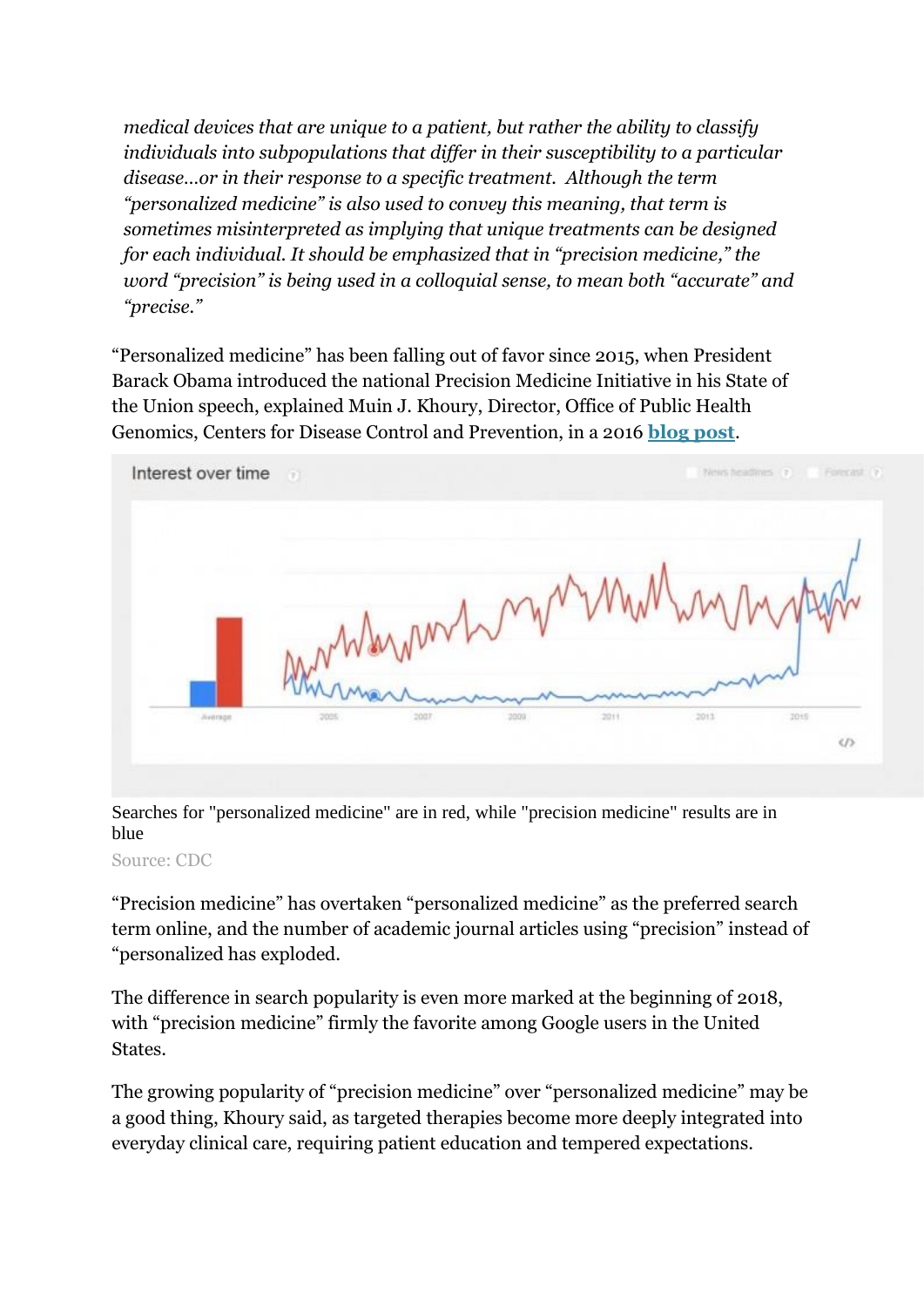*medical devices that are unique to a patient, but rather the ability to classify individuals into subpopulations that differ in their susceptibility to a particular disease…or in their response to a specific treatment. Although the term "personalized medicine" is also used to convey this meaning, that term is sometimes misinterpreted as implying that unique treatments can be designed for each individual. It should be emphasized that in "precision medicine," the word "precision" is being used in a colloquial sense, to mean both "accurate" and "precise."*

"Personalized medicine" has been falling out of favor since 2015, when President Barack Obama introduced the national Precision Medicine Initiative in his State of the Union speech, explained Muin J. Khoury, Director, Office of Public Health Genomics, Centers for Disease Control and Prevention, in a 2016 **[blog post](https://blogs.cdc.gov/genomics/2016/04/21/shift/)**.



Searches for "personalized medicine" are in red, while "precision medicine" results are in blue

Source: CDC

"Precision medicine" has overtaken "personalized medicine" as the preferred search term online, and the number of academic journal articles using "precision" instead of "personalized has exploded.

The difference in search popularity is even more marked at the beginning of 2018, with "precision medicine" firmly the favorite among Google users in the United States.

The growing popularity of "precision medicine" over "personalized medicine" may be a good thing, Khoury said, as targeted therapies become more deeply integrated into everyday clinical care, requiring patient education and tempered expectations.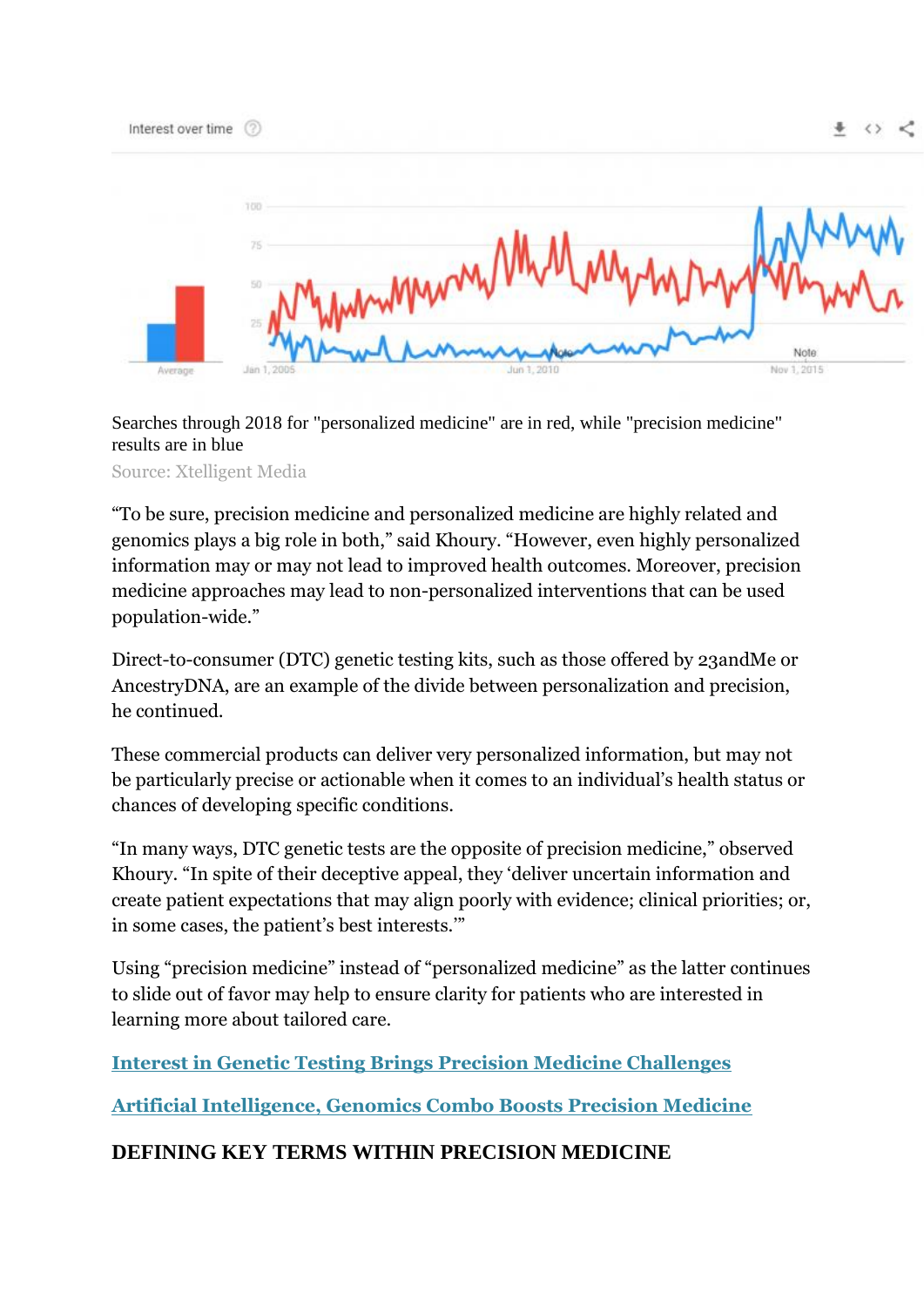|         | 700<br>75<br>25 | AA. A<br>MMMM/Vm        | <b>WW</b>            |
|---------|-----------------|-------------------------|----------------------|
| Average | Jan 1, 2005     | mybermon<br>Jun 1, 2010 | Note:<br>Nov 1, 2015 |

 $+$   $\leftrightarrow$   $\lt$ 

Searches through 2018 for "personalized medicine" are in red, while "precision medicine" results are in blue

Source: Xtelligent Media

Interest over time 2

"To be sure, precision medicine and personalized medicine are highly related and genomics plays a big role in both," said Khoury. "However, even highly personalized information may or may not lead to improved health outcomes. Moreover, precision medicine approaches may lead to non-personalized interventions that can be used population-wide."

Direct-to-consumer (DTC) genetic testing kits, such as those offered by 23andMe or AncestryDNA, are an example of the divide between personalization and precision, he continued.

These commercial products can deliver very personalized information, but may not be particularly precise or actionable when it comes to an individual's health status or chances of developing specific conditions.

"In many ways, DTC genetic tests are the opposite of precision medicine," observed Khoury. "In spite of their deceptive appeal, they 'deliver uncertain information and create patient expectations that may align poorly with evidence; clinical priorities; or, in some cases, the patient's best interests.'"

Using "precision medicine" instead of "personalized medicine" as the latter continues to slide out of favor may help to ensure clarity for patients who are interested in learning more about tailored care.

**[Interest in Genetic Testing Brings Precision Medicine Challenges](https://healthitanalytics.com/news/interest-in-genetic-testing-brings-precision-medicine-challenges)**

**[Artificial Intelligence, Genomics Combo Boosts Precision Medicine](https://healthitanalytics.com/news/artificial-intelligence-genomics-combo-boosts-precision-medicine)**

### **DEFINING KEY TERMS WITHIN PRECISION MEDICINE**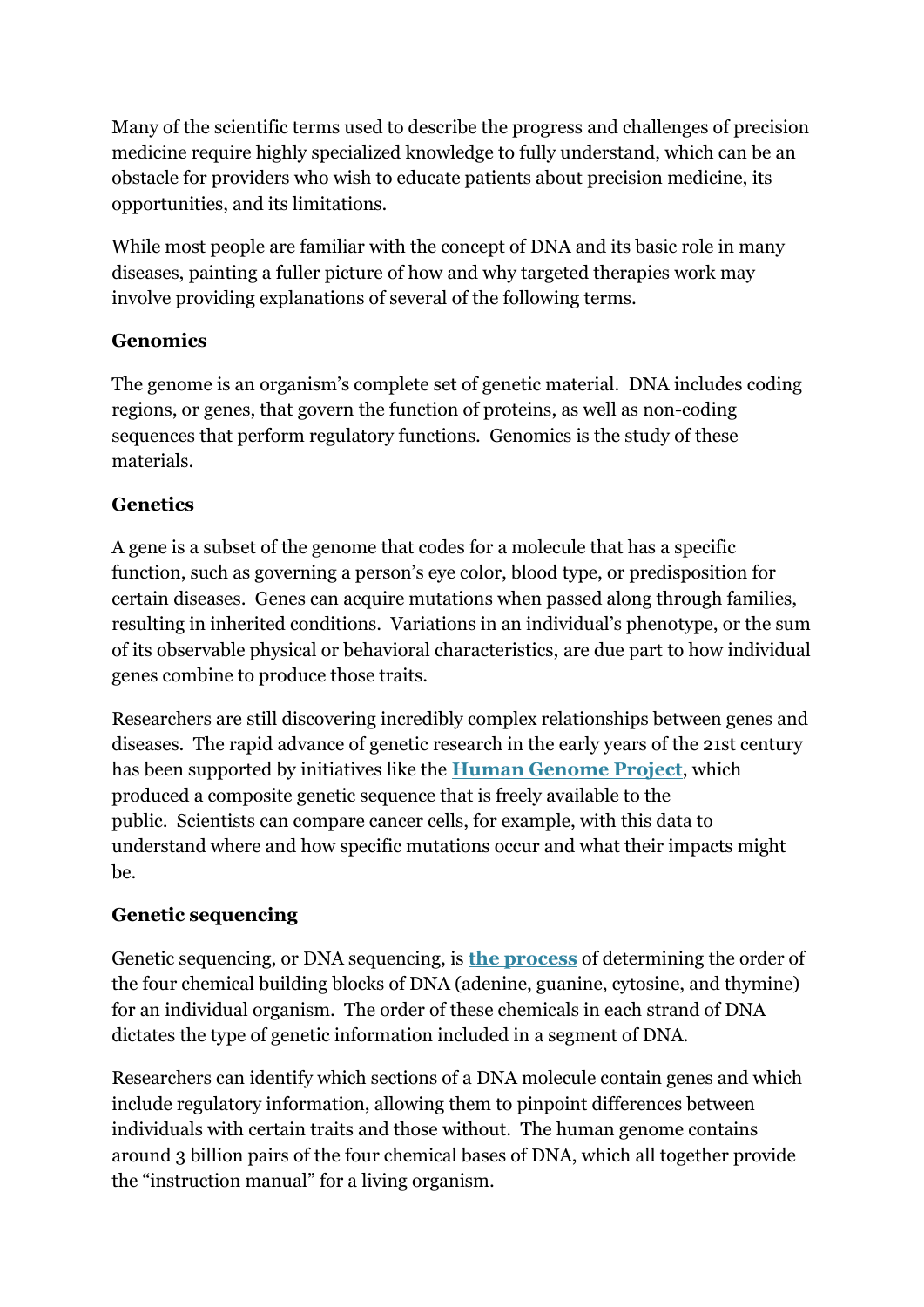Many of the scientific terms used to describe the progress and challenges of precision medicine require highly specialized knowledge to fully understand, which can be an obstacle for providers who wish to educate patients about precision medicine, its opportunities, and its limitations.

While most people are familiar with the concept of DNA and its basic role in many diseases, painting a fuller picture of how and why targeted therapies work may involve providing explanations of several of the following terms.

# **Genomics**

The genome is an organism's complete set of genetic material. DNA includes coding regions, or genes, that govern the function of proteins, as well as non-coding sequences that perform regulatory functions. Genomics is the study of these materials.

# **Genetics**

A gene is a subset of the genome that codes for a molecule that has a specific function, such as governing a person's eye color, blood type, or predisposition for certain diseases. Genes can acquire mutations when passed along through families, resulting in inherited conditions. Variations in an individual's phenotype, or the sum of its observable physical or behavioral characteristics, are due part to how individual genes combine to produce those traits.

Researchers are still discovering incredibly complex relationships between genes and diseases. The rapid advance of genetic research in the early years of the 21st century has been supported by initiatives like the **[Human Genome Project](https://www.genome.gov/10001772/all-about-the--human-genome-project-hgp/)**, which produced a composite genetic sequence that is freely available to the public. Scientists can compare cancer cells, for example, with this data to understand where and how specific mutations occur and what their impacts might be.

# **Genetic sequencing**

Genetic sequencing, or DNA sequencing, is **[the process](https://www.genome.gov/10001177/dna-sequencing-fact-sheet/)** of determining the order of the four chemical building blocks of DNA (adenine, guanine, cytosine, and thymine) for an individual organism. The order of these chemicals in each strand of DNA dictates the type of genetic information included in a segment of DNA.

Researchers can identify which sections of a DNA molecule contain genes and which include regulatory information, allowing them to pinpoint differences between individuals with certain traits and those without. The human genome contains around 3 billion pairs of the four chemical bases of DNA, which all together provide the "instruction manual" for a living organism.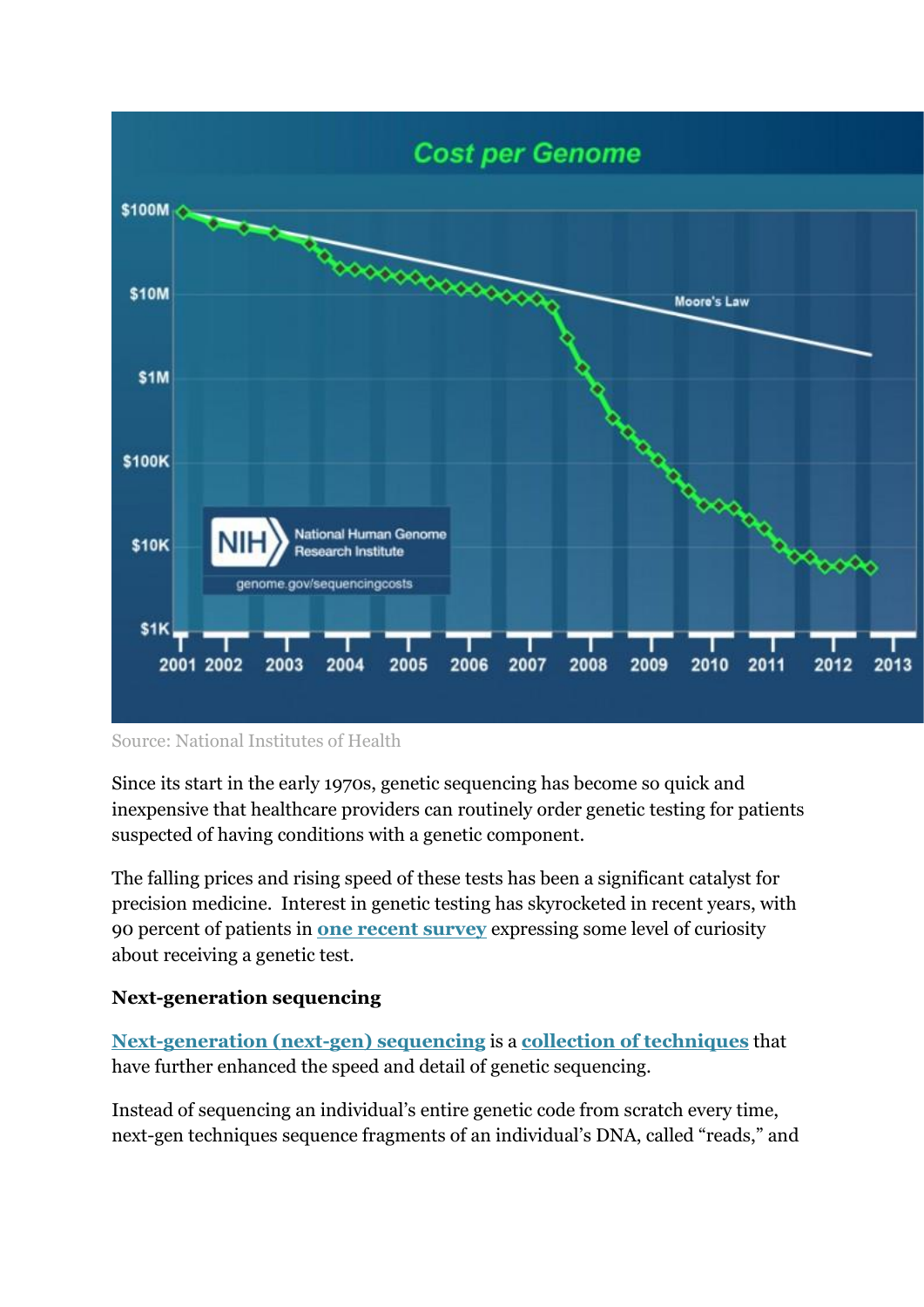

#### Source: National Institutes of Health

Since its start in the early 1970s, genetic sequencing has become so quick and inexpensive that healthcare providers can routinely order genetic testing for patients suspected of having conditions with a genetic component.

The falling prices and rising speed of these tests has been a significant catalyst for precision medicine. Interest in genetic testing has skyrocketed in recent years, with 90 percent of patients in **[one recent survey](https://healthitanalytics.com/news/interest-in-genetic-testing-brings-precision-medicine-challenges)** expressing some level of curiosity about receiving a genetic test.

#### **Next-generation sequencing**

**[Next-generation \(next-gen\) sequencing](https://healthitanalytics.com/news/can-next-gen-genomics-ease-the-precision-medicine-bottleneck)** is a **[collection of techniques](https://www.ncbi.nlm.nih.gov/pmc/articles/PMC3841808/)** that have further enhanced the speed and detail of genetic sequencing.

Instead of sequencing an individual's entire genetic code from scratch every time, next-gen techniques sequence fragments of an individual's DNA, called "reads," and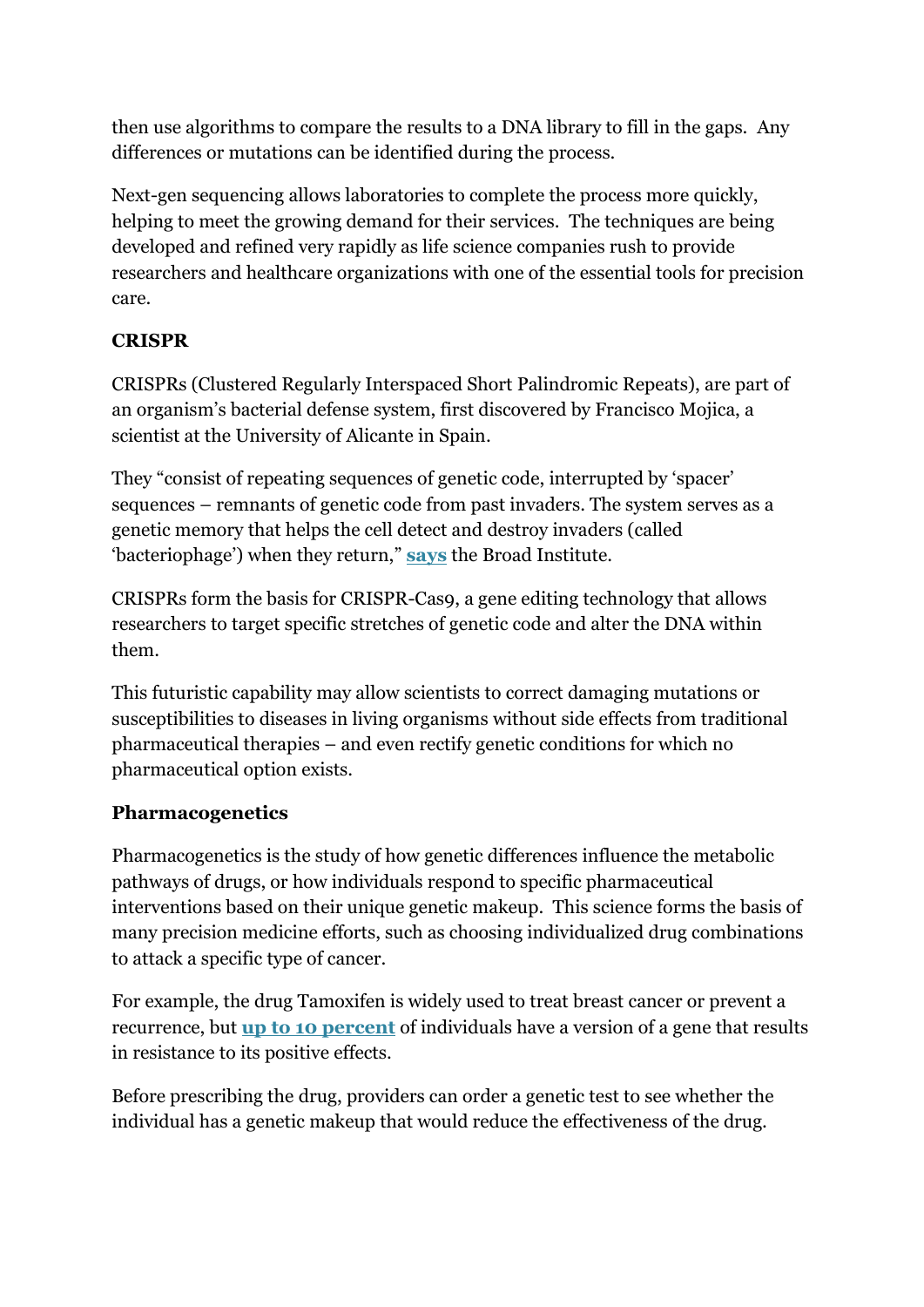then use algorithms to compare the results to a DNA library to fill in the gaps. Any differences or mutations can be identified during the process.

Next-gen sequencing allows laboratories to complete the process more quickly, helping to meet the growing demand for their services. The techniques are being developed and refined very rapidly as life science companies rush to provide researchers and healthcare organizations with one of the essential tools for precision care.

### **CRISPR**

CRISPRs (Clustered Regularly Interspaced Short Palindromic Repeats), are part of an organism's bacterial defense system, first discovered by Francisco Mojica, a scientist at the University of Alicante in Spain.

They "consist of repeating sequences of genetic code, interrupted by 'spacer' sequences – remnants of genetic code from past invaders. The system serves as a genetic memory that helps the cell detect and destroy invaders (called 'bacteriophage') when they return," **[says](https://www.broadinstitute.org/what-broad/areas-focus/project-spotlight/questions-and-answers-about-crispr)** the Broad Institute.

CRISPRs form the basis for CRISPR-Cas9, a gene editing technology that allows researchers to target specific stretches of genetic code and alter the DNA within them.

This futuristic capability may allow scientists to correct damaging mutations or susceptibilities to diseases in living organisms without side effects from traditional pharmaceutical therapies – and even rectify genetic conditions for which no pharmaceutical option exists.

### **Pharmacogenetics**

Pharmacogenetics is the study of how genetic differences influence the metabolic pathways of drugs, or how individuals respond to specific pharmaceutical interventions based on their unique genetic makeup. This science forms the basis of many precision medicine efforts, such as choosing individualized drug combinations to attack a specific type of cancer.

For example, the drug Tamoxifen is widely used to treat breast cancer or prevent a recurrence, but **[up to 10 percent](http://genelex.com/patients/drugs/tamoxifen/)** of individuals have a version of a gene that results in resistance to its positive effects.

Before prescribing the drug, providers can order a genetic test to see whether the individual has a genetic makeup that would reduce the effectiveness of the drug.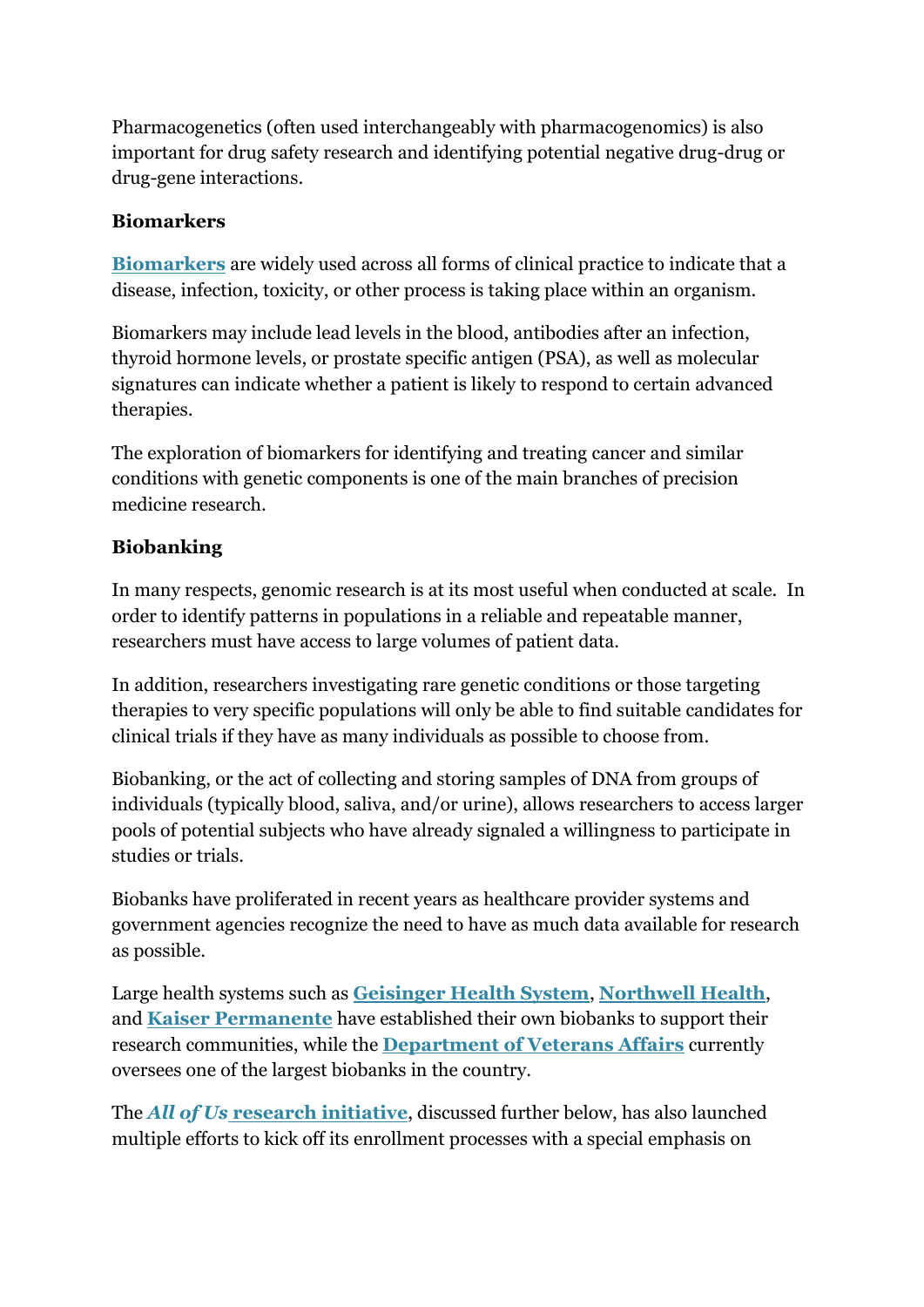Pharmacogenetics (often used interchangeably with pharmacogenomics) is also important for drug safety research and identifying potential negative drug-drug or drug-gene interactions.

### **Biomarkers**

**[Biomarkers](https://www.google.com/url?sa=t&rct=j&q=&esrc=s&source=web&cd=2&cad=rja&uact=8&ved=0ahUKEwj0jrC2k9DYAhURmoMKHQcXCC8QFgg7MAE&url=https%3A%2F%2Fwww.ncbi.nlm.nih.gov%2Fpmc%2Farticles%2FPMC3078627%2F&usg=AOvVaw21u2UEytLHC1j9nJSVwYAV)** are widely used across all forms of clinical practice to indicate that a disease, infection, toxicity, or other process is taking place within an organism.

Biomarkers may include lead levels in the blood, antibodies after an infection, thyroid hormone levels, or prostate specific antigen (PSA), as well as molecular signatures can indicate whether a patient is likely to respond to certain advanced therapies.

The exploration of biomarkers for identifying and treating cancer and similar conditions with genetic components is one of the main branches of precision medicine research.

# **Biobanking**

In many respects, genomic research is at its most useful when conducted at scale. In order to identify patterns in populations in a reliable and repeatable manner, researchers must have access to large volumes of patient data.

In addition, researchers investigating rare genetic conditions or those targeting therapies to very specific populations will only be able to find suitable candidates for clinical trials if they have as many individuals as possible to choose from.

Biobanking, or the act of collecting and storing samples of DNA from groups of individuals (typically blood, saliva, and/or urine), allows researchers to access larger pools of potential subjects who have already signaled a willingness to participate in studies or trials.

Biobanks have proliferated in recent years as healthcare provider systems and government agencies recognize the need to have as much data available for research as possible.

Large health systems such as **[Geisinger Health System](https://healthitanalytics.com/news/geisinger-precision-medicine-biobank-hits-100k-participants)**, **[Northwell Health](https://healthitanalytics.com/news/northwell-health-launches-precision-medicine-cancer-biobank)**, and **[Kaiser Permanente](https://healthitanalytics.com/news/kaiser-permanente-expands-precision-medicine-biobanking-effort)** have established their own biobanks to support their research communities, while the **[Department of Veterans Affairs](https://healthitanalytics.com/news/va-precision-medicine-databank-hits-500000-participants)** currently oversees one of the largest biobanks in the country.

The *All of Us* **[research initiative](https://healthitanalytics.com/news/nih-renames-precision-medicine-cohort-urges-patient-engagement)**, discussed further below, has also launched multiple efforts to kick off its enrollment processes with a special emphasis on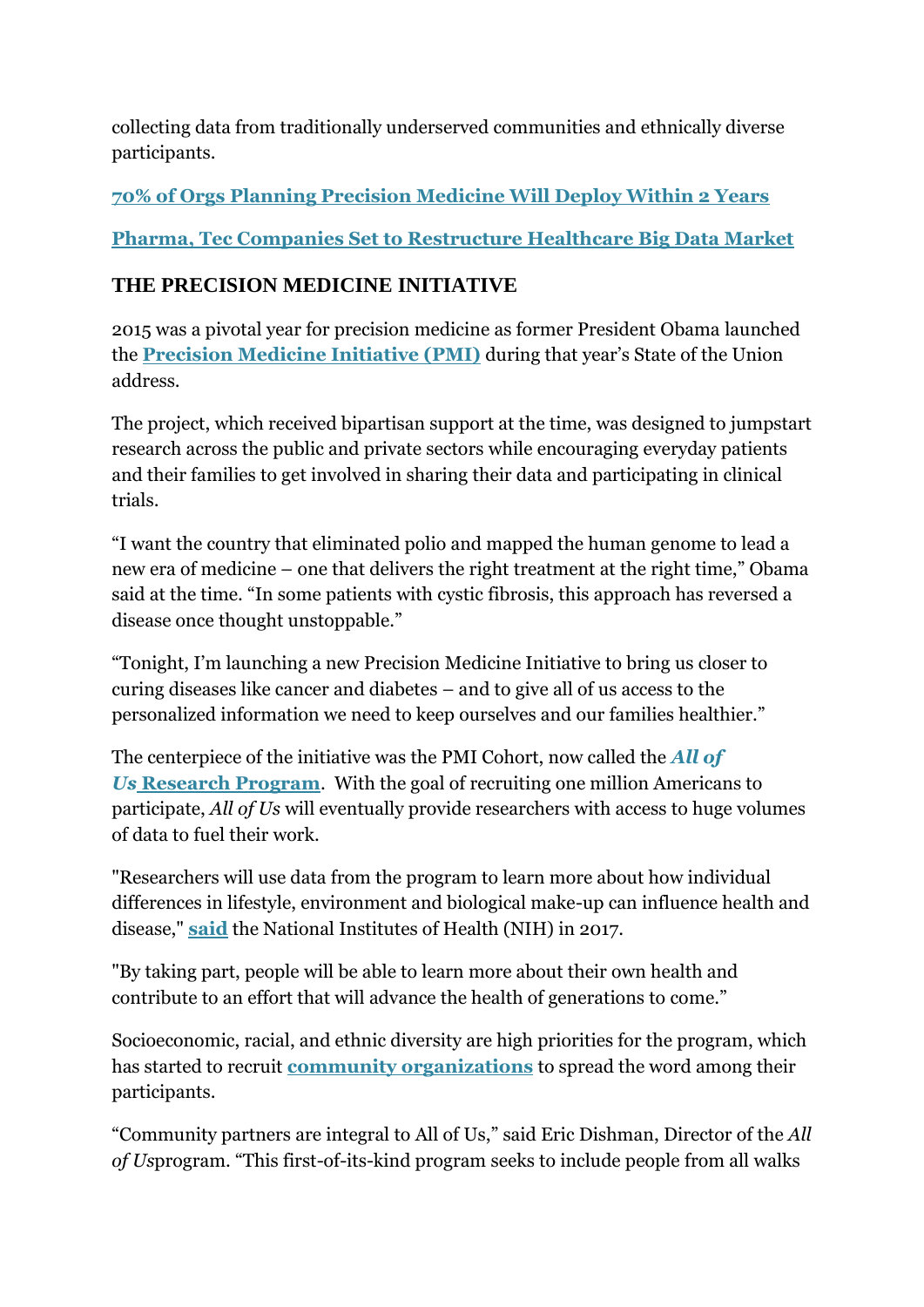collecting data from traditionally underserved communities and ethnically diverse participants.

**[70% of Orgs Planning Precision Medicine Will Deploy Within 2 Years](https://healthitanalytics.com/news/70-of-orgs-planning-precision-medicine-will-deploy-within-2-years)**

**[Pharma, Tec Companies Set to Restructure Healthcare Big Data Market](https://healthitanalytics.com/topic/healthcare-precision-medicine)**

# **THE PRECISION MEDICINE INITIATIVE**

2015 was a pivotal year for precision medicine as former President Obama launched the **[Precision Medicine Initiative \(PMI\)](https://obamawhitehouse.archives.gov/node/333101)** during that year's State of the Union address.

The project, which received bipartisan support at the time, was designed to jumpstart research across the public and private sectors while encouraging everyday patients and their families to get involved in sharing their data and participating in clinical trials.

"I want the country that eliminated polio and mapped the human genome to lead a new era of medicine – one that delivers the right treatment at the right time," Obama said at the time. "In some patients with cystic fibrosis, this approach has reversed a disease once thought unstoppable."

"Tonight, I'm launching a new Precision Medicine Initiative to bring us closer to curing diseases like cancer and diabetes – and to give all of us access to the personalized information we need to keep ourselves and our families healthier."

The centerpiece of the initiative was the PMI Cohort, now called the *[All of](https://allofus.nih.gov/about/about-all-us-research-program)  Us* **[Research Program](https://allofus.nih.gov/about/about-all-us-research-program)**. With the goal of recruiting one million Americans to participate, *All of Us* will eventually provide researchers with access to huge volumes of data to fuel their work.

"Researchers will use data from the program to learn more about how individual differences in lifestyle, environment and biological make-up can influence health and disease," **[said](https://healthitanalytics.com/news/nih-renames-precision-medicine-cohort-urges-patient-engagement)** the National Institutes of Health (NIH) in 2017.

"By taking part, people will be able to learn more about their own health and contribute to an effort that will advance the health of generations to come."

Socioeconomic, racial, and ethnic diversity are high priorities for the program, which has started to recruit **[community organizations](https://healthitanalytics.com/news/all-of-us-taps-first-community-precision-medicine-partners)** to spread the word among their participants.

"Community partners are integral to All of Us," said Eric Dishman, Director of the *All of Us*program. "This first-of-its-kind program seeks to include people from all walks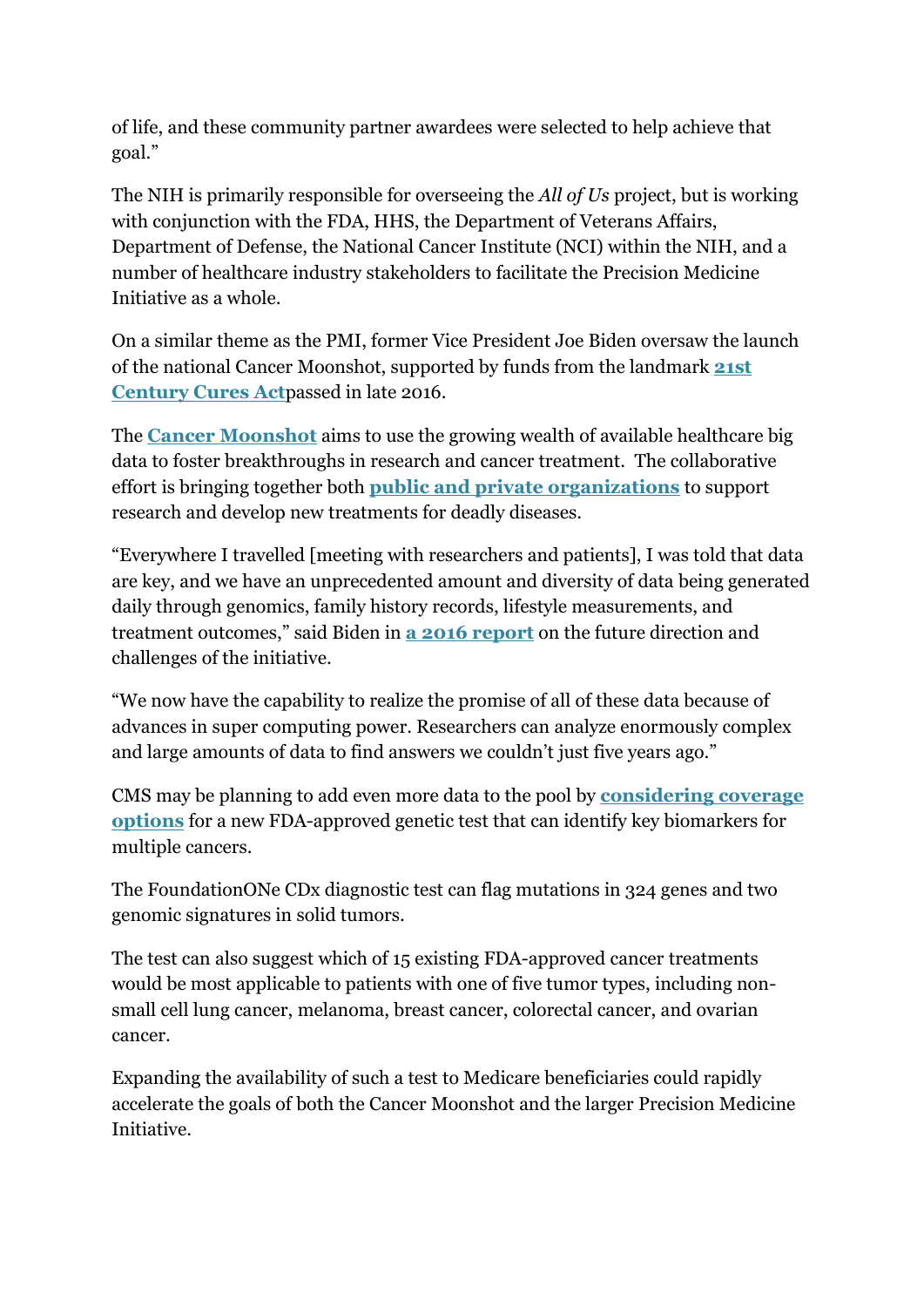of life, and these community partner awardees were selected to help achieve that goal."

The NIH is primarily responsible for overseeing the *All of Us* project, but is working with conjunction with the FDA, HHS, the Department of Veterans Affairs, Department of Defense, the National Cancer Institute (NCI) within the NIH, and a number of healthcare industry stakeholders to facilitate the Precision Medicine Initiative as a whole.

On a similar theme as the PMI, former Vice President Joe Biden oversaw the launch of the national Cancer Moonshot, supported by funds from the landmark **[21st](https://healthitanalytics.com/news/21st-century-cures-act-for-precision-medicine-set-for-house-vote)  [Century Cures Act](https://healthitanalytics.com/news/21st-century-cures-act-for-precision-medicine-set-for-house-vote)**passed in late 2016.

The **[Cancer Moonshot](https://www.cancer.gov/research/key-initiatives/moonshot-cancer-initiative)** aims to use the growing wealth of available healthcare big data to foster breakthroughs in research and cancer treatment. The collaborative effort is bringing together both **[public and private organizations](https://healthitanalytics.com/news/cancer-moonshot-pushes-urgency-of-precision-medicine-progress)** to support research and develop new treatments for deadly diseases.

"Everywhere I travelled [meeting with researchers and patients], I was told that data are key, and we have an unprecedented amount and diversity of data being generated daily through genomics, family history records, lifestyle measurements, and treatment outcomes," said Biden in **[a 2016 report](https://healthitanalytics.com/news/cancer-moonshot-report-showcases-precision-medicine-progress)** on the future direction and challenges of the initiative.

"We now have the capability to realize the promise of all of these data because of advances in super computing power. Researchers can analyze enormously complex and large amounts of data to find answers we couldn't just five years ago."

CMS may be planning to add even more data to the pool by **[considering coverage](https://healthitanalytics.com/news/cms-proposes-coverage-for-next-gen-precision-medicine-test)  [options](https://healthitanalytics.com/news/cms-proposes-coverage-for-next-gen-precision-medicine-test)** for a new FDA-approved genetic test that can identify key biomarkers for multiple cancers.

The FoundationONe CDx diagnostic test can flag mutations in 324 genes and two genomic signatures in solid tumors.

The test can also suggest which of 15 existing FDA-approved cancer treatments would be most applicable to patients with one of five tumor types, including nonsmall cell lung cancer, melanoma, breast cancer, colorectal cancer, and ovarian cancer.

Expanding the availability of such a test to Medicare beneficiaries could rapidly accelerate the goals of both the Cancer Moonshot and the larger Precision Medicine Initiative.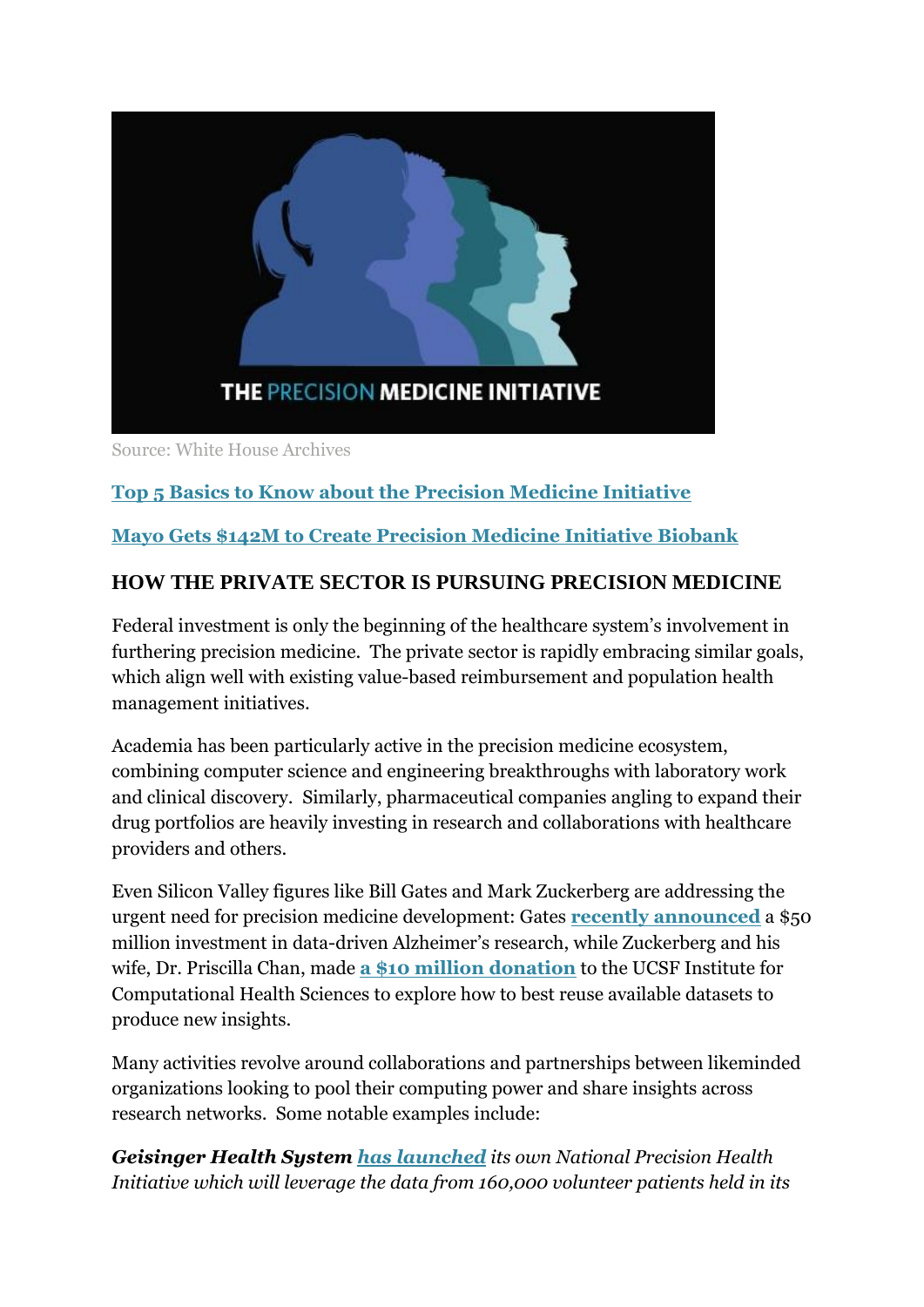

Source: White House Archives

# **[Top 5 Basics to Know about the Precision Medicine Initiative](https://healthitanalytics.com/news/top-5-basics-to-know-about-the-precision-medicine-initiative)**

# **[Mayo Gets \\$142M to Create Precision Medicine Initiative Biobank](https://healthitanalytics.com/news/mayo-gets-142m-to-create-precision-medicine-initiative-biobank)**

# **HOW THE PRIVATE SECTOR IS PURSUING PRECISION MEDICINE**

Federal investment is only the beginning of the healthcare system's involvement in furthering precision medicine. The private sector is rapidly embracing similar goals, which align well with existing value-based reimbursement and population health management initiatives.

Academia has been particularly active in the precision medicine ecosystem, combining computer science and engineering breakthroughs with laboratory work and clinical discovery. Similarly, pharmaceutical companies angling to expand their drug portfolios are heavily investing in research and collaborations with healthcare providers and others.

Even Silicon Valley figures like Bill Gates and Mark Zuckerberg are addressing the urgent need for precision medicine development: Gates **[recently announced](https://healthitanalytics.com/news/gates-invests-50m-in-big-data-precision-medicine-for-alzheimers)** a \$50 million investment in data-driven Alzheimer's research, while Zuckerberg and his wife, Dr. Priscilla Chan, made **[a \\$10 million donation](https://healthitanalytics.com/news/chan-zuckerberg-donate-10m-to-ucsf-precision-medicine-lab)** to the UCSF Institute for Computational Health Sciences to explore how to best reuse available datasets to produce new insights.

Many activities revolve around collaborations and partnerships between likeminded organizations looking to pool their computing power and share insights across research networks. Some notable examples include:

*Geisinger Health System [has launched](https://healthitanalytics.com/news/geisinger-announces-new-national-precision-health-initiative) its own National Precision Health Initiative which will leverage the data from 160,000 volunteer patients held in its*